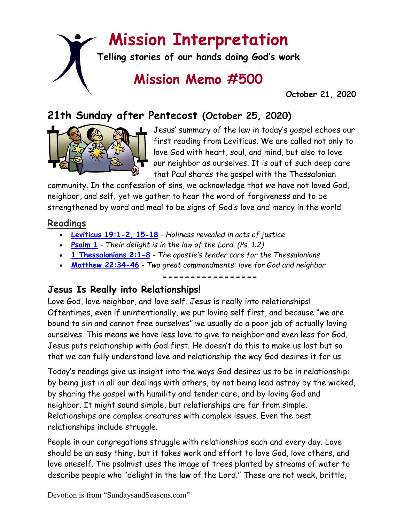# **Mission Interpretation**

**Telling stories of our hands doing God's work**

# **Mission Memo #500**

 **October 21, 2020**

# **21th Sunday after Pentecost (October 25, 2020)**



Jesus' summary of the law in today's gospel echoes our first reading from Leviticus. We are called not only to love God with heart, soul, and mind, but also to love our neighbor as ourselves. It is out of such deep care that Paul shares the gospel with the Thessalonian

community. In the confession of sins, we acknowledge that we have not loved God, neighbor, and self; yet we gather to hear the word of forgiveness and to be strengthened by word and meal to be signs of God's love and mercy in the world.

#### **Readings**

- **[Leviticus 19:1-2, 15-18](https://members.sundaysandseasons.com/)** *Holiness revealed in acts of justice*
- **[Psalm](https://members.sundaysandseasons.com/) 1** *Their delight is in the law of the Lord. (Ps. 1:2)*
- **[1 Thessalonians 2:1-8](https://members.sundaysandseasons.com/)** *The apostle's tender care for the Thessalonians*
- **[Matthew 22:34-46](https://members.sundaysandseasons.com/)** *Two great commandments: love for God and neighbor*

**-----------------**

#### **Jesus Is Really into Relationships!**

Love God, love neighbor, and love self. Jesus is really into relationships! Oftentimes, even if unintentionally, we put loving self first, and because "we are bound to sin and cannot free ourselves" we usually do a poor job of actually loving ourselves. This means we have less love to give to neighbor and even less for God. Jesus puts relationship with God first. He doesn't do this to make us last but so that we can fully understand love and relationship the way God desires it for us.

Today's readings give us insight into the ways God desires us to be in relationship: by being just in all our dealings with others, by not being lead astray by the wicked, by sharing the gospel with humility and tender care, and by loving God and neighbor. It might sound simple, but relationships are far from simple. Relationships are complex creatures with complex issues. Even the best relationships include struggle.

People in our congregations struggle with relationships each and every day. Love should be an easy thing, but it takes work and effort to love God, love others, and love oneself. The psalmist uses the image of trees planted by streams of water to describe people who "delight in the law of the Lord." These are not weak, brittle,

Devotion is from "SundaysandSeasons.com"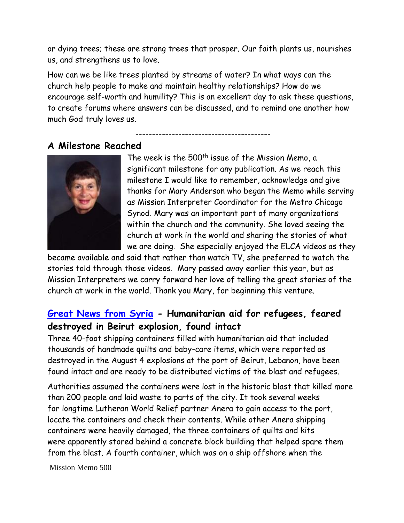or dying trees; these are strong trees that prosper. Our faith plants us, nourishes us, and strengthens us to love.

How can we be like trees planted by streams of water? In what ways can the church help people to make and maintain healthy relationships? How do we encourage self-worth and humility? This is an excellent day to ask these questions, to create forums where answers can be discussed, and to remind one another how much God truly loves us.

-----------------------------------------

#### **A Milestone Reached**



The week is the 500<sup>th</sup> issue of the Mission Memo, a significant milestone for any publication. As we reach this milestone I would like to remember, acknowledge and give thanks for Mary Anderson who began the Memo while serving as Mission Interpreter Coordinator for the Metro Chicago Synod. Mary was an important part of many organizations within the church and the community. She loved seeing the church at work in the world and sharing the stories of what we are doing. She especially enjoyed the ELCA videos as they

became available and said that rather than watch TV, she preferred to watch the stories told through those videos. Mary passed away earlier this year, but as Mission Interpreters we carry forward her love of telling the great stories of the church at work in the world. Thank you Mary, for beginning this venture.

#### **[Great News from Syria](https://lwr.org/blog/2020/once-feared-lost-lifesaving-supplies-found-beirut-explosions-rubble) - Humanitarian aid for refugees, feared destroyed in Beirut explosion, found intact**

Three 40-foot shipping containers filled with humanitarian aid that included thousands of handmade quilts and baby-care items, which were reported as destroyed in the August 4 explosions at the port of Beirut, Lebanon, have been found intact and are ready to be distributed victims of the blast and refugees.

Authorities assumed the containers were lost in the historic blast that killed more than 200 people and laid waste to parts of the city. It took several weeks for longtime Lutheran World Relief partner Anera to gain access to the port, locate the containers and check their contents. While other Anera shipping containers were heavily damaged, the three containers of quilts and kits were apparently stored behind a concrete block building that helped spare them from the blast. A fourth container, which was on a ship offshore when the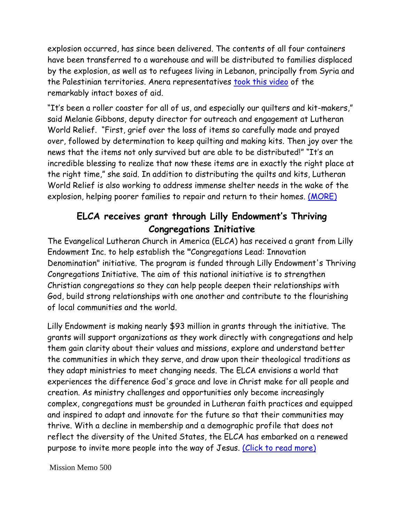explosion occurred, has since been delivered. The contents of all four containers have been transferred to a warehouse and will be distributed to families displaced by the explosion, as well as to refugees living in Lebanon, principally from Syria and the Palestinian territories. Anera representatives [took this video](https://youtu.be/xoq5Dz80DN8) of the remarkably intact boxes of aid.

"It's been a roller coaster for all of us, and especially our quilters and kit-makers," said Melanie Gibbons, deputy director for outreach and engagement at Lutheran World Relief. "First, grief over the loss of items so carefully made and prayed over, followed by determination to keep quilting and making kits. Then joy over the news that the items not only survived but are able to be distributed!" "It's an incredible blessing to realize that now these items are in exactly the right place at the right time," she said. In addition to distributing the quilts and kits, Lutheran World Relief is also working to address immense shelter needs in the wake of the explosion, helping poorer families to repair and return to their homes. [\(MORE\)](https://lwr.org/blog/2020/once-feared-lost-lifesaving-supplies-found-beirut-explosions-rubble)

### **ELCA receives grant through Lilly Endowment's Thriving Congregations Initiative**

The Evangelical Lutheran Church in America (ELCA) has received a grant from Lilly Endowment Inc. to help establish the **"**Congregations Lead: Innovation Denomination" initiative. The program is funded through Lilly Endowment's Thriving Congregations Initiative. The aim of this national initiative is to strengthen Christian congregations so they can help people deepen their relationships with God, build strong relationships with one another and contribute to the flourishing of local communities and the world.

Lilly Endowment is making nearly \$93 million in grants through the initiative. The grants will support organizations as they work directly with congregations and help them gain clarity about their values and missions, explore and understand better the communities in which they serve, and draw upon their theological traditions as they adapt ministries to meet changing needs. The ELCA envisions a world that experiences the difference God's grace and love in Christ make for all people and creation. As ministry challenges and opportunities only become increasingly complex, congregations must be grounded in Lutheran faith practices and equipped and inspired to adapt and innovate for the future so that their communities may thrive. With a decline in membership and a demographic profile that does not reflect the diversity of the United States, the ELCA has embarked on a renewed purpose to invite more people into the way of Jesus. [\(Click to read more\)](https://www.elca.org/News-and-Events/8074)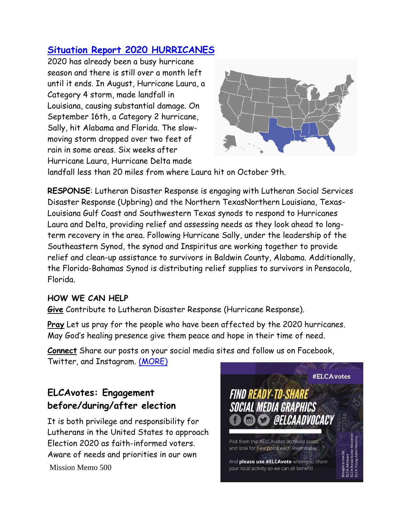## **[Situation Report 2020 HURRICANES](https://blogs.elca.org/disasterresponse/situation-report-2020-hurricanes/)**

2020 has already been a busy hurricane season and there is still over a month left until it ends. In August, Hurricane Laura, a Category 4 storm, made landfall in Louisiana, causing substantial damage. On September 16th, a Category 2 hurricane, Sally, hit Alabama and Florida. The slowmoving storm dropped over two feet of rain in some areas. Six weeks after Hurricane Laura, Hurricane Delta made



landfall less than 20 miles from where Laura hit on October 9th.

**RESPONSE**: Lutheran Disaster Response is engaging with Lutheran Social Services Disaster Response (Upbring) and the Northern TexasNorthern Louisiana, Texas-Louisiana Gulf Coast and Southwestern Texas synods to respond to Hurricanes Laura and Delta, providing relief and assessing needs as they look ahead to longterm recovery in the area. Following Hurricane Sally, under the leadership of the Southeastern Synod, the synod and Inspiritus are working together to provide relief and clean-up assistance to survivors in Baldwin County, Alabama. Additionally, the Florida-Bahamas Synod is distributing relief supplies to survivors in Pensacola, Florida.

#### **HOW WE CAN HELP**

**Give** Contribute to Lutheran Disaster Response (Hurricane Response).

**Pray** Let us pray for the people who have been affected by the 2020 hurricanes. May God's healing presence give them peace and hope in their time of need.

**Connect** Share our posts on your social media sites and follow us on Facebook, Twitter, and Instagram. [\(MORE\)](https://blogs.elca.org/disasterresponse/situation-report-2020-hurricanes/)

#### **ELCAvotes: Engagement before/during/after election**

It is both privilege and responsibility for Lutherans in the United States to approach Election 2020 as faith-informed voters. Aware of needs and priorities in our own